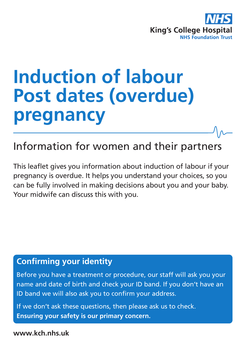

# **Induction of labour Post dates (overdue) pregnancy**

Information for women and their partners

This leaflet gives you information about induction of labour if your pregnancy is overdue. It helps you understand your choices, so you can be fully involved in making decisions about you and your baby. Your midwife can discuss this with you.

# **Confirming your identity**

Before you have a treatment or procedure, our staff will ask you your name and date of birth and check your ID band. If you don't have an ID band we will also ask you to confirm your address.

If we don't ask these questions, then please ask us to check. **Ensuring your safety is our primary concern.**

**www.kch.nhs.uk**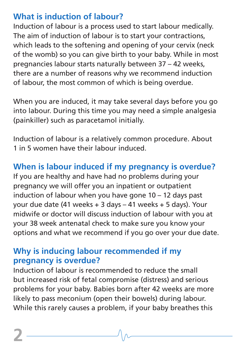# **What is induction of labour?**

Induction of labour is a process used to start labour medically. The aim of induction of labour is to start your contractions, which leads to the softening and opening of your cervix (neck of the womb) so you can give birth to your baby. While in most pregnancies labour starts naturally between 37 – 42 weeks, there are a number of reasons why we recommend induction of labour, the most common of which is being overdue.

When you are induced, it may take several days before you go into labour. During this time you may need a simple analgesia (painkiller) such as paracetamol initially.

Induction of labour is a relatively common procedure. About 1 in 5 women have their labour induced.

# **When is labour induced if my pregnancy is overdue?**

If you are healthy and have had no problems during your pregnancy we will offer you an inpatient or outpatient induction of labour when you have gone 10 – 12 days past your due date (41 weeks + 3 days – 41 weeks + 5 days). Your midwife or doctor will discuss induction of labour with you at your 38 week antenatal check to make sure you know your options and what we recommend if you go over your due date.

## **Why is inducing labour recommended if my pregnancy is overdue?**

Induction of labour is recommended to reduce the small but increased risk of fetal compromise (distress) and serious problems for your baby. Babies born after 42 weeks are more likely to pass meconium (open their bowels) during labour. While this rarely causes a problem, if your baby breathes this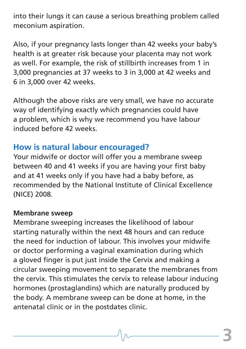into their lungs it can cause a serious breathing problem called meconium aspiration.

Also, if your pregnancy lasts longer than 42 weeks your baby's health is at greater risk because your placenta may not work as well. For example, the risk of stillbirth increases from 1 in 3,000 pregnancies at 37 weeks to 3 in 3,000 at 42 weeks and 6 in 3,000 over 42 weeks.

Although the above risks are very small, we have no accurate way of identifying exactly which pregnancies could have a problem, which is why we recommend you have labour induced before 42 weeks.

## **How is natural labour encouraged?**

Your midwife or doctor will offer you a membrane sweep between 40 and 41 weeks if you are having your first baby and at 41 weeks only if you have had a baby before, as recommended by the National Institute of Clinical Excellence (NICE) 2008.

#### **Membrane sweep**

Membrane sweeping increases the likelihood of labour starting naturally within the next 48 hours and can reduce the need for induction of labour. This involves your midwife or doctor performing a vaginal examination during which a gloved finger is put just inside the Cervix and making a circular sweeping movement to separate the membranes from the cervix. This stimulates the cervix to release labour inducing hormones (prostaglandins) which are naturally produced by the body. A membrane sweep can be done at home, in the antenatal clinic or in the postdates clinic.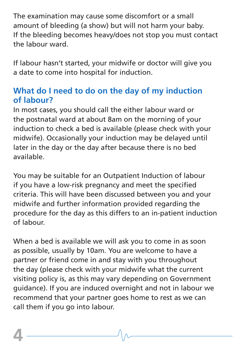The examination may cause some discomfort or a small amount of bleeding (a show) but will not harm your baby. If the bleeding becomes heavy/does not stop you must contact the labour ward.

If labour hasn't started, your midwife or doctor will give you a date to come into hospital for induction.

## **What do I need to do on the day of my induction of labour?**

In most cases, you should call the either labour ward or the postnatal ward at about 8am on the morning of your induction to check a bed is available (please check with your midwife). Occasionally your induction may be delayed until later in the day or the day after because there is no bed available.

You may be suitable for an Outpatient Induction of labour if you have a low-risk pregnancy and meet the specified criteria. This will have been discussed between you and your midwife and further information provided regarding the procedure for the day as this differs to an in-patient induction of labour.

When a bed is available we will ask you to come in as soon as possible, usually by 10am. You are welcome to have a partner or friend come in and stay with you throughout the day (please check with your midwife what the current visiting policy is, as this may vary depending on Government guidance). If you are induced overnight and not in labour we recommend that your partner goes home to rest as we can call them if you go into labour.

**4**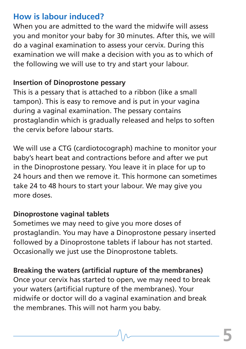## **How is labour induced?**

When you are admitted to the ward the midwife will assess you and monitor your baby for 30 minutes. After this, we will do a vaginal examination to assess your cervix. During this examination we will make a decision with you as to which of the following we will use to try and start your labour.

#### **Insertion of Dinoprostone pessary**

This is a pessary that is attached to a ribbon (like a small tampon). This is easy to remove and is put in your vagina during a vaginal examination. The pessary contains prostaglandin which is gradually released and helps to soften the cervix before labour starts.

We will use a CTG (cardiotocograph) machine to monitor your baby's heart beat and contractions before and after we put in the Dinoprostone pessary. You leave it in place for up to 24 hours and then we remove it. This hormone can sometimes take 24 to 48 hours to start your labour. We may give you more doses.

#### **Dinoprostone vaginal tablets**

Sometimes we may need to give you more doses of prostaglandin. You may have a Dinoprostone pessary inserted followed by a Dinoprostone tablets if labour has not started. Occasionally we just use the Dinoprostone tablets.

#### **Breaking the waters (artificial rupture of the membranes)**

Once your cervix has started to open, we may need to break your waters (artificial rupture of the membranes). Your midwife or doctor will do a vaginal examination and break the membranes. This will not harm you baby.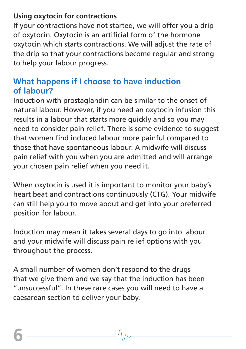#### **Using oxytocin for contractions**

If your contractions have not started, we will offer you a drip of oxytocin. Oxytocin is an artificial form of the hormone oxytocin which starts contractions. We will adjust the rate of the drip so that your contractions become regular and strong to help your labour progress.

# **What happens if I choose to have induction of labour?**

Induction with prostaglandin can be similar to the onset of natural labour. However, if you need an oxytocin infusion this results in a labour that starts more quickly and so you may need to consider pain relief. There is some evidence to suggest that women find induced labour more painful compared to those that have spontaneous labour. A midwife will discuss pain relief with you when you are admitted and will arrange your chosen pain relief when you need it.

When oxytocin is used it is important to monitor your baby's heart beat and contractions continuously (CTG). Your midwife can still help you to move about and get into your preferred position for labour.

Induction may mean it takes several days to go into labour and your midwife will discuss pain relief options with you throughout the process.

A small number of women don't respond to the drugs that we give them and we say that the induction has been "unsuccessful". In these rare cases you will need to have a caesarean section to deliver your baby.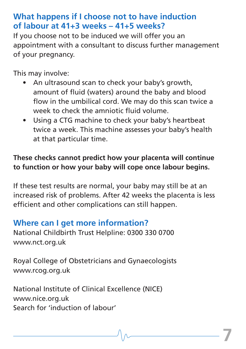# **What happens if I choose not to have induction of labour at 41+3 weeks – 41+5 weeks?**

If you choose not to be induced we will offer you an appointment with a consultant to discuss further management of your pregnancy.

This may involve:

- An ultrasound scan to check your baby's growth, amount of fluid (waters) around the baby and blood flow in the umbilical cord. We may do this scan twice a week to check the amniotic fluid volume.
- Using a CTG machine to check your baby's heartbeat twice a week. This machine assesses your baby's health at that particular time.

### **These checks cannot predict how your placenta will continue to function or how your baby will cope once labour begins.**

If these test results are normal, your baby may still be at an increased risk of problems. After 42 weeks the placenta is less efficient and other complications can still happen.

# **Where can I get more information?**

National Childbirth Trust Helpline: 0300 330 0700 www.nct.org.uk

Royal College of Obstetricians and Gynaecologists www.rcog.org.uk

National Institute of Clinical Excellence (NICE) www.nice.org.uk Search for 'induction of labour'